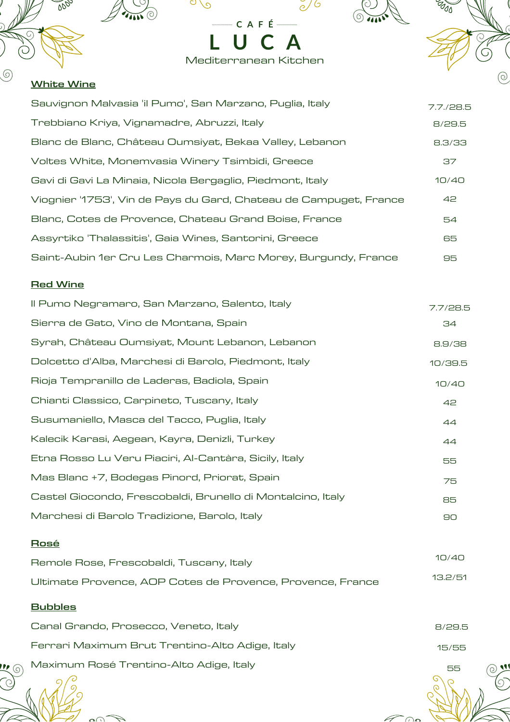

Ó

 $\circledcirc$ 

#### **White Wine**

 $\circledcirc$ 

999

| Sauvignon Malvasia 'il Pumo', San Marzano, Puglia, Italy          | 7.7/28.5 |
|-------------------------------------------------------------------|----------|
| Trebbiano Kriya, Vignamadre, Abruzzi, Italy                       | 8/29.5   |
| Blanc de Blanc, Château Oumsiyat, Bekaa Valley, Lebanon           | 8.3/33   |
| Voltes White, Monemvasia Winery Tsimbidi, Greece                  | 37       |
| Gavi di Gavi La Minaia, Nicola Bergaglio, Piedmont, Italy         | 10/40    |
| Viognier '1753', Vin de Pays du Gard, Chateau de Campuget, France | 42       |
| Blanc, Cotes de Provence, Chateau Grand Boise, France             | 54       |
| Assyrtiko 'Thalassitis', Gaia Wines, Santorini, Greece            | 65       |
| Saint-Aubin 1er Cru Les Charmois, Marc Morey, Burgundy, France    | 95       |

**C A F É**

 $\frac{8}{3}$ 

 $\circ \circ$ 

**THIS OF** 

**L U C A**

Mediterranean Kitchen

#### **Red Wine**

| Il Pumo Negramaro, San Marzano, Salento, Italy              | 7.7/28.5 |
|-------------------------------------------------------------|----------|
| Sierra de Gato, Vino de Montana, Spain                      | 34       |
| Syrah, Château Oumsiyat, Mount Lebanon, Lebanon             | 8.9/38   |
| Dolcetto d'Alba, Marchesi di Barolo, Piedmont, Italy        | 10/39.5  |
| Rioja Tempranillo de Laderas, Badiola, Spain                | 10/40    |
| Chianti Classico, Carpineto, Tuscany, Italy                 | 42       |
| Susumaniello, Masca del Tacco, Puglia, Italy                | 44       |
| Kalecik Karasi, Aegean, Kayra, Denizli, Turkey              | 44       |
| Etna Rosso Lu Veru Piaciri, Al-Cantàra, Sicily, Italy       | 55       |
| Mas Blanc +7, Bodegas Pinord, Priorat, Spain                | 75       |
| Castel Giocondo, Frescobaldi, Brunello di Montalcino, Italy | 85       |
| Marchesi di Barolo Tradizione, Barolo, Italy                | 90       |

## **Rosé**

| Remole Rose, Frescobaldi, Tuscany, Italy                   | 10/40   |
|------------------------------------------------------------|---------|
| Ultimate Provence, AOP Cotes de Provence, Provence, France | 13.2/51 |

# **Bubbles**

 $\mathbf{2}$   $\odot$ 

| Canal Grando, Prosecco, Veneto, Italy           | 8/29.5 |
|-------------------------------------------------|--------|
| Ferrari Maximum Brut Trentino-Alto Adige, Italy | 15/55  |
| Maximum Rosé Trentino-Alto Adige, Italy         | 55     |